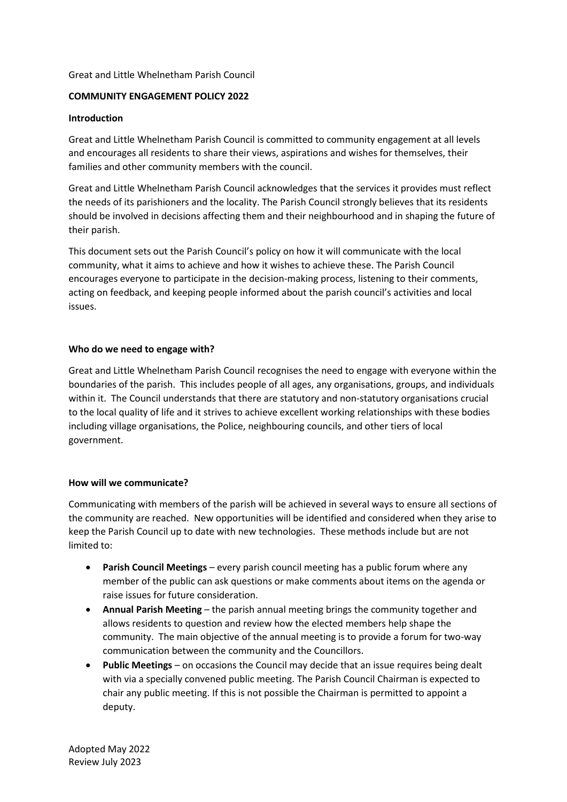### Great and Little Whelnetham Parish Council

# **COMMUNITY ENGAGEMENT POLICY 2022**

#### **Introduction**

Great and Little Whelnetham Parish Council is committed to community engagement at all levels and encourages all residents to share their views, aspirations and wishes for themselves, their families and other community members with the council.

Great and Little Whelnetham Parish Council acknowledges that the services it provides must reflect the needs of its parishioners and the locality. The Parish Council strongly believes that its residents should be involved in decisions affecting them and their neighbourhood and in shaping the future of their parish.

This document sets out the Parish Council's policy on how it will communicate with the local community, what it aims to achieve and how it wishes to achieve these. The Parish Council encourages everyone to participate in the decision-making process, listening to their comments, acting on feedback, and keeping people informed about the parish council's activities and local issues.

### **Who do we need to engage with?**

Great and Little Whelnetham Parish Council recognises the need to engage with everyone within the boundaries of the parish. This includes people of all ages, any organisations, groups, and individuals within it. The Council understands that there are statutory and non-statutory organisations crucial to the local quality of life and it strives to achieve excellent working relationships with these bodies including village organisations, the Police, neighbouring councils, and other tiers of local government.

# **How will we communicate?**

Communicating with members of the parish will be achieved in several ways to ensure all sections of the community are reached. New opportunities will be identified and considered when they arise to keep the Parish Council up to date with new technologies. These methods include but are not limited to:

- **Parish Council Meetings** every parish council meeting has a public forum where any member of the public can ask questions or make comments about items on the agenda or raise issues for future consideration.
- **Annual Parish Meeting** the parish annual meeting brings the community together and allows residents to question and review how the elected members help shape the community. The main objective of the annual meeting is to provide a forum for two-way communication between the community and the Councillors.
- **Public Meetings** on occasions the Council may decide that an issue requires being dealt with via a specially convened public meeting. The Parish Council Chairman is expected to chair any public meeting. If this is not possible the Chairman is permitted to appoint a deputy.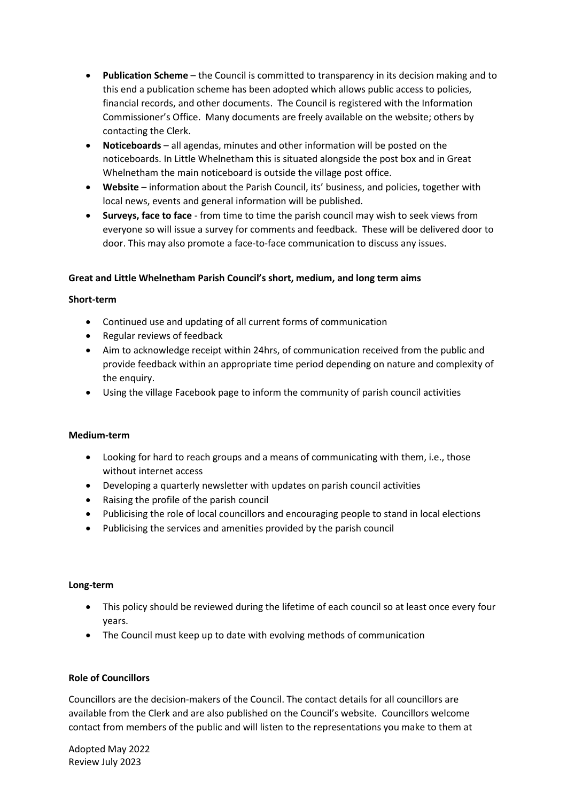- **Publication Scheme** the Council is committed to transparency in its decision making and to this end a publication scheme has been adopted which allows public access to policies, financial records, and other documents. The Council is registered with the Information Commissioner's Office. Many documents are freely available on the website; others by contacting the Clerk.
- **Noticeboards** all agendas, minutes and other information will be posted on the noticeboards. In Little Whelnetham this is situated alongside the post box and in Great Whelnetham the main noticeboard is outside the village post office.
- **Website** information about the Parish Council, its' business, and policies, together with local news, events and general information will be published.
- **Surveys, face to face**  from time to time the parish council may wish to seek views from everyone so will issue a survey for comments and feedback. These will be delivered door to door. This may also promote a face-to-face communication to discuss any issues.

# **Great and Little Whelnetham Parish Council's short, medium, and long term aims**

#### **Short-term**

- Continued use and updating of all current forms of communication
- Regular reviews of feedback
- Aim to acknowledge receipt within 24hrs, of communication received from the public and provide feedback within an appropriate time period depending on nature and complexity of the enquiry.
- Using the village Facebook page to inform the community of parish council activities

#### **Medium-term**

- Looking for hard to reach groups and a means of communicating with them, i.e., those without internet access
- Developing a quarterly newsletter with updates on parish council activities
- Raising the profile of the parish council
- Publicising the role of local councillors and encouraging people to stand in local elections
- Publicising the services and amenities provided by the parish council

#### **Long-term**

- This policy should be reviewed during the lifetime of each council so at least once every four years.
- The Council must keep up to date with evolving methods of communication

# **Role of Councillors**

Councillors are the decision-makers of the Council. The contact details for all councillors are available from the Clerk and are also published on the Council's website. Councillors welcome contact from members of the public and will listen to the representations you make to them at

Adopted May 2022 Review July 2023